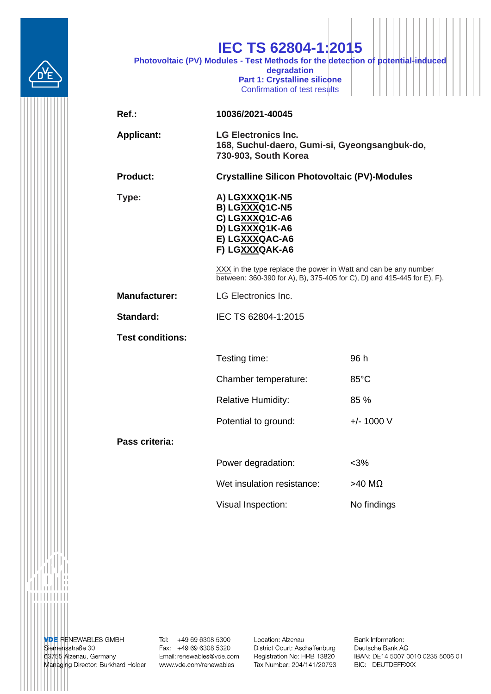|                         | <b>IEC TS 62804-1:2015</b><br>Photovoltaic (PV) Modules - Test Methods for the detection of potential-induced<br>degradation<br>Part 1: Crystalline silicone<br>Confirmation of test results |                                                      |  |
|-------------------------|----------------------------------------------------------------------------------------------------------------------------------------------------------------------------------------------|------------------------------------------------------|--|
| $Ref.$ :                | 10036/2021-40045                                                                                                                                                                             |                                                      |  |
| <b>Applicant:</b>       | <b>LG Electronics Inc.</b><br>168, Suchul-daero, Gumi-si, Gyeongsangbuk-do,<br>730-903, South Korea                                                                                          |                                                      |  |
| <b>Product:</b>         |                                                                                                                                                                                              | <b>Crystalline Silicon Photovoltaic (PV)-Modules</b> |  |
| Type:                   | A) LGXXXQ1K-N5<br>B) LGXXXQ1C-N5<br>C) LGXXXQ1C-A6<br>D) LGXXXQ1K-A6<br>E) LGXXXQAC-A6<br>F) LGXXXQAK-A6                                                                                     |                                                      |  |
|                         | XXX in the type replace the power in Watt and can be any number<br>between: 360-390 for A), B), 375-405 for C), D) and 415-445 for E), F).                                                   |                                                      |  |
| <b>Manufacturer:</b>    | <b>LG Electronics Inc.</b>                                                                                                                                                                   |                                                      |  |
| Standard:               | IEC TS 62804-1:2015                                                                                                                                                                          |                                                      |  |
| <b>Test conditions:</b> |                                                                                                                                                                                              |                                                      |  |
|                         | Testing time:                                                                                                                                                                                | 96 h                                                 |  |
|                         | Chamber temperature:                                                                                                                                                                         | $85^{\circ}$ C                                       |  |
|                         | <b>Relative Humidity:</b>                                                                                                                                                                    | 85 %                                                 |  |
|                         | Potential to ground:                                                                                                                                                                         | $+/- 1000 V$                                         |  |
| Pass criteria:          |                                                                                                                                                                                              |                                                      |  |
|                         | Power degradation:                                                                                                                                                                           | $<$ 3%                                               |  |
|                         | Wet insulation resistance:                                                                                                                                                                   | $>40$ ΜΩ                                             |  |
|                         | Visual Inspection:                                                                                                                                                                           | No findings                                          |  |
|                         |                                                                                                                                                                                              |                                                      |  |

**VDE** RENEWABLES GMBH<br>Siemensstraße 30<br>63755 Alzenau, Germany<br>Managing Director: Burkhard Holder

Tel: +49 69 6308 5300<br>Fax: +49 69 6308 5320 Email: renewables@vde.com www.vde.com/renewables

Location: Alzenau District Court: Aschaffenburg Registration No: HRB 13820 Tax Number: 204/141/20793 Bank Information: Deutsche Bank AG IBAN: DE14 5007 0010 0235 5006 01 BIC: DEUTDEFFXXX